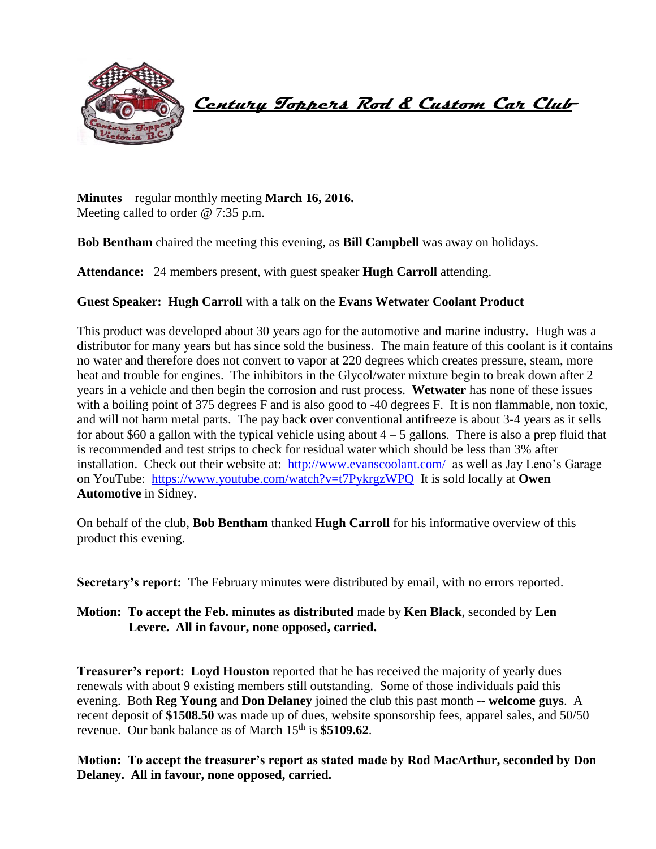

 **Century Toppers Rod & Custom Car Club** 

**Minutes** – regular monthly meeting **March 16, 2016.** Meeting called to order @ 7:35 p.m.

**Bob Bentham** chaired the meeting this evening, as **Bill Campbell** was away on holidays.

**Attendance:** 24 members present, with guest speaker **Hugh Carroll** attending.

# **Guest Speaker: Hugh Carroll** with a talk on the **Evans Wetwater Coolant Product**

This product was developed about 30 years ago for the automotive and marine industry. Hugh was a distributor for many years but has since sold the business. The main feature of this coolant is it contains no water and therefore does not convert to vapor at 220 degrees which creates pressure, steam, more heat and trouble for engines. The inhibitors in the Glycol/water mixture begin to break down after 2 years in a vehicle and then begin the corrosion and rust process. **Wetwater** has none of these issues with a boiling point of 375 degrees F and is also good to -40 degrees F. It is non flammable, non toxic, and will not harm metal parts. The pay back over conventional antifreeze is about 3-4 years as it sells for about \$60 a gallon with the typical vehicle using about  $4 - 5$  gallons. There is also a prep fluid that is recommended and test strips to check for residual water which should be less than 3% after installation. Check out their website at: <http://www.evanscoolant.com/>as well as Jay Leno's Garage on YouTube: <https://www.youtube.com/watch?v=t7PykrgzWPQ>It is sold locally at **Owen Automotive** in Sidney.

On behalf of the club, **Bob Bentham** thanked **Hugh Carroll** for his informative overview of this product this evening.

**Secretary's report:** The February minutes were distributed by email, with no errors reported.

**Motion: To accept the Feb. minutes as distributed** made by **Ken Black**, seconded by **Len Levere. All in favour, none opposed, carried.**

**Treasurer's report: Loyd Houston** reported that he has received the majority of yearly dues renewals with about 9 existing members still outstanding. Some of those individuals paid this evening. Both **Reg Young** and **Don Delaney** joined the club this past month -- **welcome guys**. A recent deposit of **\$1508.50** was made up of dues, website sponsorship fees, apparel sales, and 50/50 revenue. Our bank balance as of March 15<sup>th</sup> is \$5109.62.

**Motion: To accept the treasurer's report as stated made by Rod MacArthur, seconded by Don Delaney. All in favour, none opposed, carried.**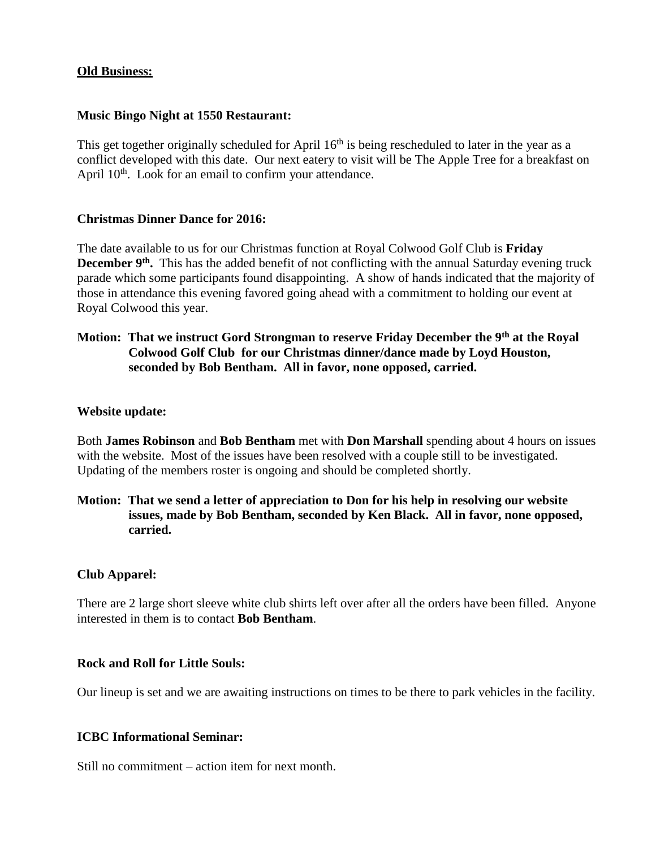#### **Old Business:**

#### **Music Bingo Night at 1550 Restaurant:**

This get together originally scheduled for April 16<sup>th</sup> is being rescheduled to later in the year as a conflict developed with this date. Our next eatery to visit will be The Apple Tree for a breakfast on April 10<sup>th</sup>. Look for an email to confirm your attendance.

#### **Christmas Dinner Dance for 2016:**

The date available to us for our Christmas function at Royal Colwood Golf Club is **Friday**  December 9<sup>th</sup>. This has the added benefit of not conflicting with the annual Saturday evening truck parade which some participants found disappointing. A show of hands indicated that the majority of those in attendance this evening favored going ahead with a commitment to holding our event at Royal Colwood this year.

# **Motion: That we instruct Gord Strongman to reserve Friday December the 9th at the Royal Colwood Golf Club for our Christmas dinner/dance made by Loyd Houston, seconded by Bob Bentham. All in favor, none opposed, carried.**

#### **Website update:**

Both **James Robinson** and **Bob Bentham** met with **Don Marshall** spending about 4 hours on issues with the website. Most of the issues have been resolved with a couple still to be investigated. Updating of the members roster is ongoing and should be completed shortly.

**Motion: That we send a letter of appreciation to Don for his help in resolving our website issues, made by Bob Bentham, seconded by Ken Black. All in favor, none opposed, carried.** 

#### **Club Apparel:**

There are 2 large short sleeve white club shirts left over after all the orders have been filled. Anyone interested in them is to contact **Bob Bentham**.

#### **Rock and Roll for Little Souls:**

Our lineup is set and we are awaiting instructions on times to be there to park vehicles in the facility.

### **ICBC Informational Seminar:**

Still no commitment – action item for next month.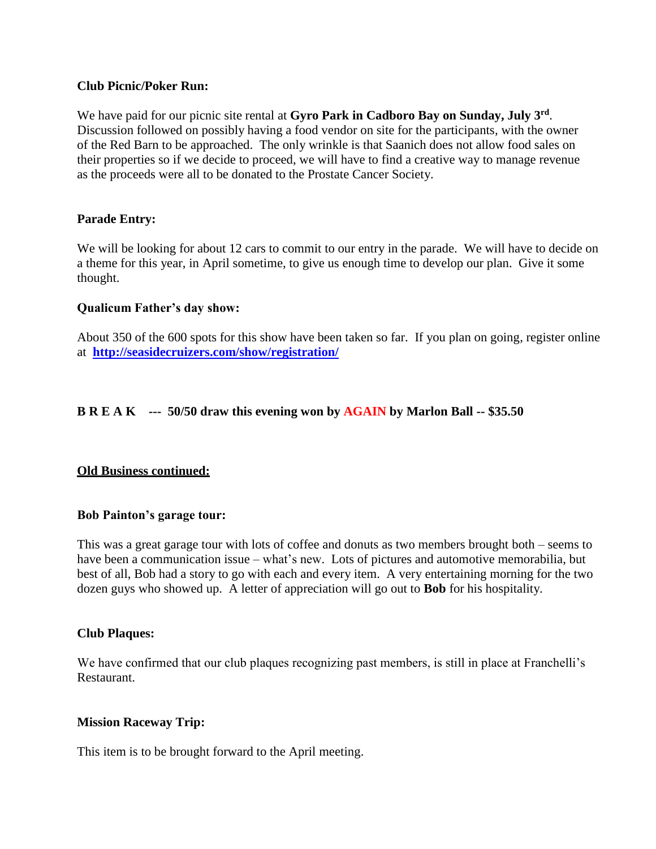### **Club Picnic/Poker Run:**

We have paid for our picnic site rental at **Gyro Park in Cadboro Bay on Sunday, July 3rd** . Discussion followed on possibly having a food vendor on site for the participants, with the owner of the Red Barn to be approached. The only wrinkle is that Saanich does not allow food sales on their properties so if we decide to proceed, we will have to find a creative way to manage revenue as the proceeds were all to be donated to the Prostate Cancer Society.

# **Parade Entry:**

We will be looking for about 12 cars to commit to our entry in the parade. We will have to decide on a theme for this year, in April sometime, to give us enough time to develop our plan. Give it some thought.

# **Qualicum Father's day show:**

About 350 of the 600 spots for this show have been taken so far. If you plan on going, register online at **<http://seasidecruizers.com/show/registration/>**

# **B R E A K --- 50/50 draw this evening won by AGAIN by Marlon Ball -- \$35.50**

# **Old Business continued:**

### **Bob Painton's garage tour:**

This was a great garage tour with lots of coffee and donuts as two members brought both – seems to have been a communication issue – what's new. Lots of pictures and automotive memorabilia, but best of all, Bob had a story to go with each and every item. A very entertaining morning for the two dozen guys who showed up. A letter of appreciation will go out to **Bob** for his hospitality.

### **Club Plaques:**

We have confirmed that our club plaques recognizing past members, is still in place at Franchelli's Restaurant.

### **Mission Raceway Trip:**

This item is to be brought forward to the April meeting.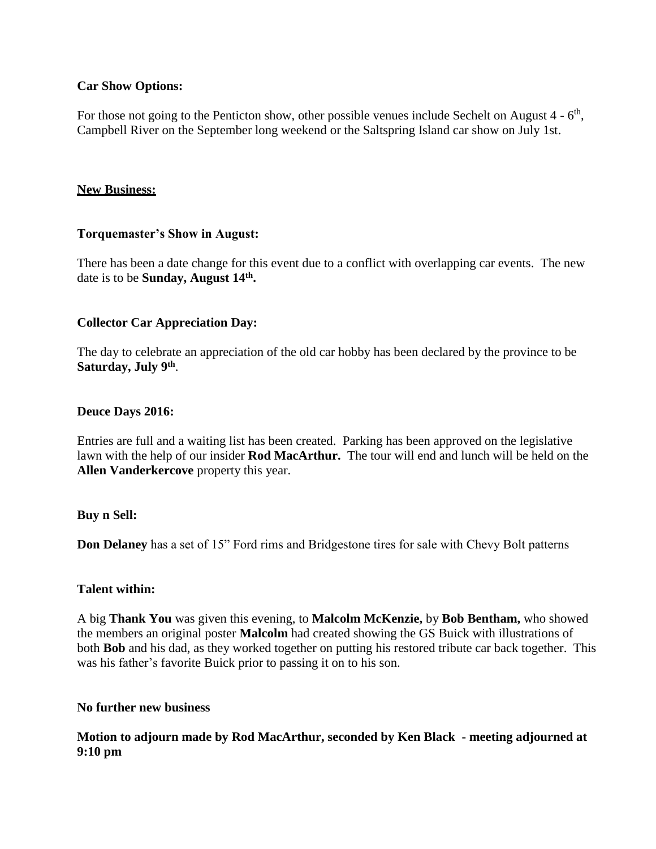# **Car Show Options:**

For those not going to the Penticton show, other possible venues include Sechelt on August  $4 - 6<sup>th</sup>$ , Campbell River on the September long weekend or the Saltspring Island car show on July 1st.

#### **New Business:**

### **Torquemaster's Show in August:**

There has been a date change for this event due to a conflict with overlapping car events. The new date is to be **Sunday, August 14th .**

### **Collector Car Appreciation Day:**

The day to celebrate an appreciation of the old car hobby has been declared by the province to be **Saturday, July 9th** .

#### **Deuce Days 2016:**

Entries are full and a waiting list has been created. Parking has been approved on the legislative lawn with the help of our insider **Rod MacArthur.** The tour will end and lunch will be held on the **Allen Vanderkercove** property this year.

### **Buy n Sell:**

**Don Delaney** has a set of 15" Ford rims and Bridgestone tires for sale with Chevy Bolt patterns

### **Talent within:**

A big **Thank You** was given this evening, to **Malcolm McKenzie,** by **Bob Bentham,** who showed the members an original poster **Malcolm** had created showing the GS Buick with illustrations of both **Bob** and his dad, as they worked together on putting his restored tribute car back together.This was his father's favorite Buick prior to passing it on to his son.

#### **No further new business**

# **Motion to adjourn made by Rod MacArthur, seconded by Ken Black - meeting adjourned at 9:10 pm**